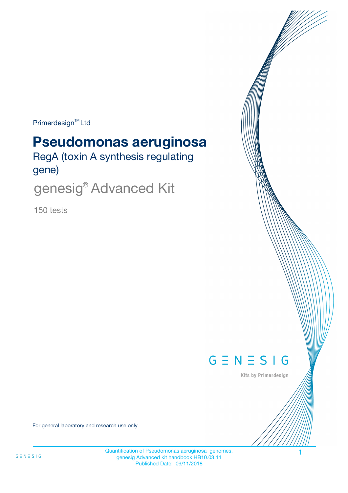$Primerdesign^{\text{TM}}$ Ltd

# **Pseudomonas aeruginosa**

RegA (toxin A synthesis regulating gene)

genesig® Advanced Kit

150 tests



Kits by Primerdesign

For general laboratory and research use only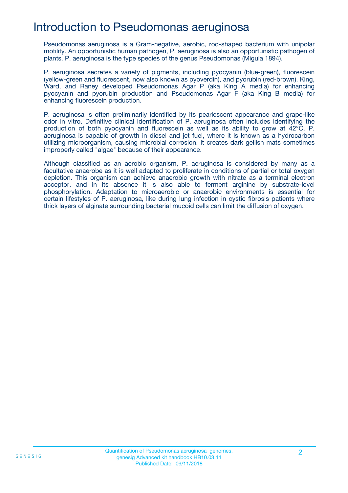## Introduction to Pseudomonas aeruginosa

Pseudomonas aeruginosa is a Gram-negative, aerobic, rod-shaped bacterium with unipolar motility. An opportunistic human pathogen, P. aeruginosa is also an opportunistic pathogen of plants. P. aeruginosa is the type species of the genus Pseudomonas (Migula 1894).

P. aeruginosa secretes a variety of pigments, including pyocyanin (blue-green), fluorescein (yellow-green and fluorescent, now also known as pyoverdin), and pyorubin (red-brown). King, Ward, and Raney developed Pseudomonas Agar P (aka King A media) for enhancing pyocyanin and pyorubin production and Pseudomonas Agar F (aka King B media) for enhancing fluorescein production.

P. aeruginosa is often preliminarily identified by its pearlescent appearance and grape-like odor in vitro. Definitive clinical identification of P. aeruginosa often includes identifying the production of both pyocyanin and fluorescein as well as its ability to grow at 42°C. P. aeruginosa is capable of growth in diesel and jet fuel, where it is known as a hydrocarbon utilizing microorganism, causing microbial corrosion. It creates dark gellish mats sometimes improperly called "algae" because of their appearance.

Although classified as an aerobic organism, P. aeruginosa is considered by many as a facultative anaerobe as it is well adapted to proliferate in conditions of partial or total oxygen depletion. This organism can achieve anaerobic growth with nitrate as a terminal electron acceptor, and in its absence it is also able to ferment arginine by substrate-level phosphorylation. Adaptation to microaerobic or anaerobic environments is essential for certain lifestyles of P. aeruginosa, like during lung infection in cystic fibrosis patients where thick layers of alginate surrounding bacterial mucoid cells can limit the diffusion of oxygen.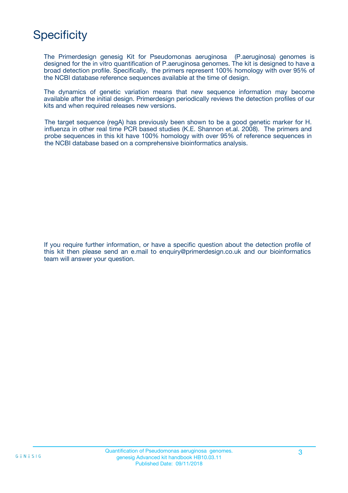## **Specificity**

The Primerdesign genesig Kit for Pseudomonas aeruginosa (P.aeruginosa) genomes is designed for the in vitro quantification of P.aeruginosa genomes. The kit is designed to have a broad detection profile. Specifically, the primers represent 100% homology with over 95% of the NCBI database reference sequences available at the time of design.

The dynamics of genetic variation means that new sequence information may become available after the initial design. Primerdesign periodically reviews the detection profiles of our kits and when required releases new versions.

The target sequence (regA) has previously been shown to be a good genetic marker for H. influenza in other real time PCR based studies (K.E. Shannon et.al. 2008). The primers and probe sequences in this kit have 100% homology with over 95% of reference sequences in the NCBI database based on a comprehensive bioinformatics analysis.

If you require further information, or have a specific question about the detection profile of this kit then please send an e.mail to enquiry@primerdesign.co.uk and our bioinformatics team will answer your question.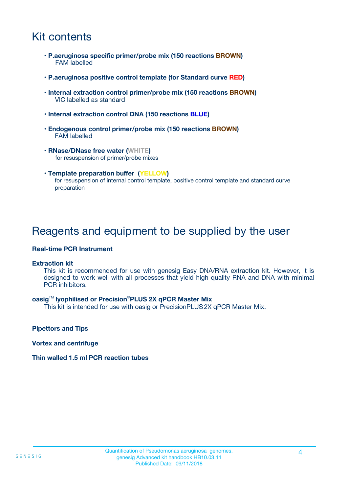## Kit contents

- **P.aeruginosa specific primer/probe mix (150 reactions BROWN)** FAM labelled
- **P.aeruginosa positive control template (for Standard curve RED)**
- **Internal extraction control primer/probe mix (150 reactions BROWN)** VIC labelled as standard
- **Internal extraction control DNA (150 reactions BLUE)**
- **Endogenous control primer/probe mix (150 reactions BROWN)** FAM labelled
- **RNase/DNase free water (WHITE)** for resuspension of primer/probe mixes
- **Template preparation buffer (YELLOW)** for resuspension of internal control template, positive control template and standard curve preparation

### Reagents and equipment to be supplied by the user

#### **Real-time PCR Instrument**

#### **Extraction kit**

This kit is recommended for use with genesig Easy DNA/RNA extraction kit. However, it is designed to work well with all processes that yield high quality RNA and DNA with minimal PCR inhibitors.

#### **oasig**TM **lyophilised or Precision**®**PLUS 2X qPCR Master Mix**

This kit is intended for use with oasig or PrecisionPLUS2X qPCR Master Mix.

**Pipettors and Tips**

**Vortex and centrifuge**

#### **Thin walled 1.5 ml PCR reaction tubes**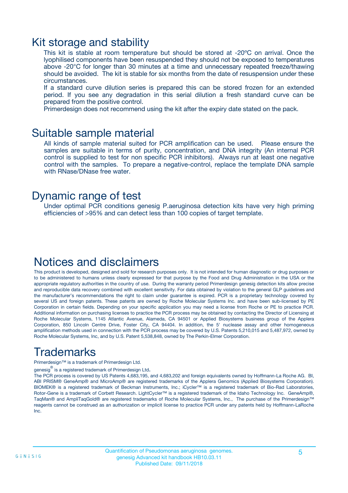### Kit storage and stability

This kit is stable at room temperature but should be stored at -20ºC on arrival. Once the lyophilised components have been resuspended they should not be exposed to temperatures above -20°C for longer than 30 minutes at a time and unnecessary repeated freeze/thawing should be avoided. The kit is stable for six months from the date of resuspension under these circumstances.

If a standard curve dilution series is prepared this can be stored frozen for an extended period. If you see any degradation in this serial dilution a fresh standard curve can be prepared from the positive control.

Primerdesign does not recommend using the kit after the expiry date stated on the pack.

### Suitable sample material

All kinds of sample material suited for PCR amplification can be used. Please ensure the samples are suitable in terms of purity, concentration, and DNA integrity (An internal PCR control is supplied to test for non specific PCR inhibitors). Always run at least one negative control with the samples. To prepare a negative-control, replace the template DNA sample with RNase/DNase free water.

### Dynamic range of test

Under optimal PCR conditions genesig P.aeruginosa detection kits have very high priming efficiencies of >95% and can detect less than 100 copies of target template.

### Notices and disclaimers

This product is developed, designed and sold for research purposes only. It is not intended for human diagnostic or drug purposes or to be administered to humans unless clearly expressed for that purpose by the Food and Drug Administration in the USA or the appropriate regulatory authorities in the country of use. During the warranty period Primerdesign genesig detection kits allow precise and reproducible data recovery combined with excellent sensitivity. For data obtained by violation to the general GLP guidelines and the manufacturer's recommendations the right to claim under guarantee is expired. PCR is a proprietary technology covered by several US and foreign patents. These patents are owned by Roche Molecular Systems Inc. and have been sub-licensed by PE Corporation in certain fields. Depending on your specific application you may need a license from Roche or PE to practice PCR. Additional information on purchasing licenses to practice the PCR process may be obtained by contacting the Director of Licensing at Roche Molecular Systems, 1145 Atlantic Avenue, Alameda, CA 94501 or Applied Biosystems business group of the Applera Corporation, 850 Lincoln Centre Drive, Foster City, CA 94404. In addition, the 5' nuclease assay and other homogeneous amplification methods used in connection with the PCR process may be covered by U.S. Patents 5,210,015 and 5,487,972, owned by Roche Molecular Systems, Inc, and by U.S. Patent 5,538,848, owned by The Perkin-Elmer Corporation.

## Trademarks

Primerdesign™ is a trademark of Primerdesign Ltd.

genesig $^\circledR$  is a registered trademark of Primerdesign Ltd.

The PCR process is covered by US Patents 4,683,195, and 4,683,202 and foreign equivalents owned by Hoffmann-La Roche AG. BI, ABI PRISM® GeneAmp® and MicroAmp® are registered trademarks of the Applera Genomics (Applied Biosystems Corporation). BIOMEK® is a registered trademark of Beckman Instruments, Inc.; iCycler™ is a registered trademark of Bio-Rad Laboratories, Rotor-Gene is a trademark of Corbett Research. LightCycler™ is a registered trademark of the Idaho Technology Inc. GeneAmp®, TaqMan® and AmpliTaqGold® are registered trademarks of Roche Molecular Systems, Inc., The purchase of the Primerdesign™ reagents cannot be construed as an authorization or implicit license to practice PCR under any patents held by Hoffmann-LaRoche Inc.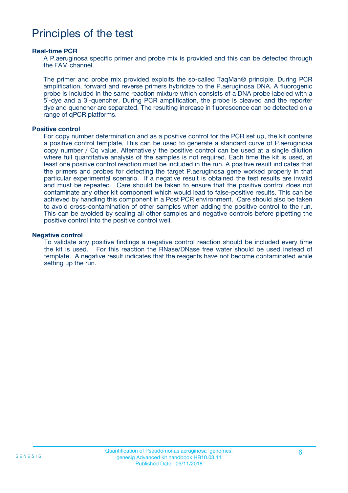## Principles of the test

#### **Real-time PCR**

A P.aeruginosa specific primer and probe mix is provided and this can be detected through the FAM channel.

The primer and probe mix provided exploits the so-called TaqMan® principle. During PCR amplification, forward and reverse primers hybridize to the P.aeruginosa DNA. A fluorogenic probe is included in the same reaction mixture which consists of a DNA probe labeled with a 5`-dye and a 3`-quencher. During PCR amplification, the probe is cleaved and the reporter dye and quencher are separated. The resulting increase in fluorescence can be detected on a range of qPCR platforms.

#### **Positive control**

For copy number determination and as a positive control for the PCR set up, the kit contains a positive control template. This can be used to generate a standard curve of P.aeruginosa copy number / Cq value. Alternatively the positive control can be used at a single dilution where full quantitative analysis of the samples is not required. Each time the kit is used, at least one positive control reaction must be included in the run. A positive result indicates that the primers and probes for detecting the target P.aeruginosa gene worked properly in that particular experimental scenario. If a negative result is obtained the test results are invalid and must be repeated. Care should be taken to ensure that the positive control does not contaminate any other kit component which would lead to false-positive results. This can be achieved by handling this component in a Post PCR environment. Care should also be taken to avoid cross-contamination of other samples when adding the positive control to the run. This can be avoided by sealing all other samples and negative controls before pipetting the positive control into the positive control well.

#### **Negative control**

To validate any positive findings a negative control reaction should be included every time the kit is used. For this reaction the RNase/DNase free water should be used instead of template. A negative result indicates that the reagents have not become contaminated while setting up the run.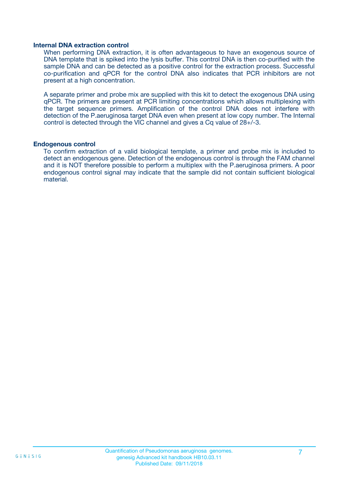#### **Internal DNA extraction control**

When performing DNA extraction, it is often advantageous to have an exogenous source of DNA template that is spiked into the lysis buffer. This control DNA is then co-purified with the sample DNA and can be detected as a positive control for the extraction process. Successful co-purification and qPCR for the control DNA also indicates that PCR inhibitors are not present at a high concentration.

A separate primer and probe mix are supplied with this kit to detect the exogenous DNA using qPCR. The primers are present at PCR limiting concentrations which allows multiplexing with the target sequence primers. Amplification of the control DNA does not interfere with detection of the P.aeruginosa target DNA even when present at low copy number. The Internal control is detected through the VIC channel and gives a Cq value of 28+/-3.

#### **Endogenous control**

To confirm extraction of a valid biological template, a primer and probe mix is included to detect an endogenous gene. Detection of the endogenous control is through the FAM channel and it is NOT therefore possible to perform a multiplex with the P.aeruginosa primers. A poor endogenous control signal may indicate that the sample did not contain sufficient biological material.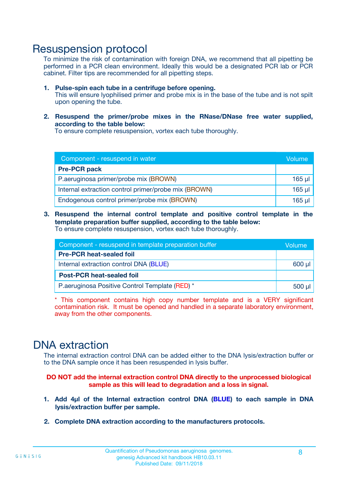### Resuspension protocol

To minimize the risk of contamination with foreign DNA, we recommend that all pipetting be performed in a PCR clean environment. Ideally this would be a designated PCR lab or PCR cabinet. Filter tips are recommended for all pipetting steps.

- **1. Pulse-spin each tube in a centrifuge before opening.** This will ensure lyophilised primer and probe mix is in the base of the tube and is not spilt upon opening the tube.
- **2. Resuspend the primer/probe mixes in the RNase/DNase free water supplied, according to the table below:**

To ensure complete resuspension, vortex each tube thoroughly.

| Component - resuspend in water                       |          |  |
|------------------------------------------------------|----------|--|
| <b>Pre-PCR pack</b>                                  |          |  |
| P.aeruginosa primer/probe mix (BROWN)                | $165$ µ  |  |
| Internal extraction control primer/probe mix (BROWN) | $165$ µl |  |
| Endogenous control primer/probe mix (BROWN)          | 165 µl   |  |

**3. Resuspend the internal control template and positive control template in the template preparation buffer supplied, according to the table below:** To ensure complete resuspension, vortex each tube thoroughly.

| Component - resuspend in template preparation buffer |  |  |  |
|------------------------------------------------------|--|--|--|
| <b>Pre-PCR heat-sealed foil</b>                      |  |  |  |
| Internal extraction control DNA (BLUE)               |  |  |  |
| <b>Post-PCR heat-sealed foil</b>                     |  |  |  |
| P. aeruginosa Positive Control Template (RED) *      |  |  |  |

\* This component contains high copy number template and is a VERY significant contamination risk. It must be opened and handled in a separate laboratory environment, away from the other components.

### DNA extraction

The internal extraction control DNA can be added either to the DNA lysis/extraction buffer or to the DNA sample once it has been resuspended in lysis buffer.

**DO NOT add the internal extraction control DNA directly to the unprocessed biological sample as this will lead to degradation and a loss in signal.**

- **1. Add 4µl of the Internal extraction control DNA (BLUE) to each sample in DNA lysis/extraction buffer per sample.**
- **2. Complete DNA extraction according to the manufacturers protocols.**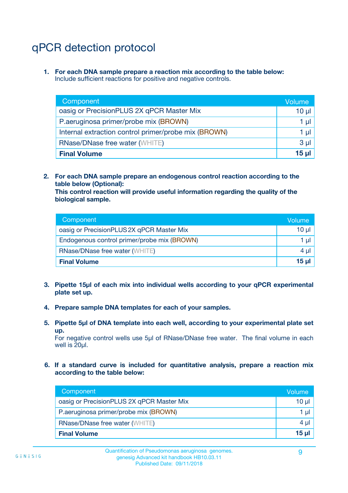## qPCR detection protocol

**1. For each DNA sample prepare a reaction mix according to the table below:** Include sufficient reactions for positive and negative controls.

| Component                                            | Volume   |
|------------------------------------------------------|----------|
| oasig or PrecisionPLUS 2X qPCR Master Mix            | $10 \mu$ |
| P.aeruginosa primer/probe mix (BROWN)                | 1 µI l   |
| Internal extraction control primer/probe mix (BROWN) | 1 µl     |
| <b>RNase/DNase free water (WHITE)</b>                | $3 \mu$  |
| <b>Final Volume</b>                                  | 15 µl    |

**2. For each DNA sample prepare an endogenous control reaction according to the table below (Optional):**

**This control reaction will provide useful information regarding the quality of the biological sample.**

| Component                                   | Volume   |
|---------------------------------------------|----------|
| oasig or PrecisionPLUS 2X qPCR Master Mix   | $10 \mu$ |
| Endogenous control primer/probe mix (BROWN) | 1 µI     |
| <b>RNase/DNase free water (WHITE)</b>       | $4 \mu$  |
| <b>Final Volume</b>                         | 15 µl    |

- **3. Pipette 15µl of each mix into individual wells according to your qPCR experimental plate set up.**
- **4. Prepare sample DNA templates for each of your samples.**
- **5. Pipette 5µl of DNA template into each well, according to your experimental plate set up.**

For negative control wells use 5µl of RNase/DNase free water. The final volume in each well is 20ul.

**6. If a standard curve is included for quantitative analysis, prepare a reaction mix according to the table below:**

| Component                                 | Volume          |
|-------------------------------------------|-----------------|
| oasig or PrecisionPLUS 2X qPCR Master Mix | 10 $\mu$        |
| P.aeruginosa primer/probe mix (BROWN)     | 1 µI I          |
| <b>RNase/DNase free water (WHITE)</b>     | 4 µl            |
| <b>Final Volume</b>                       | 15 <sub>µ</sub> |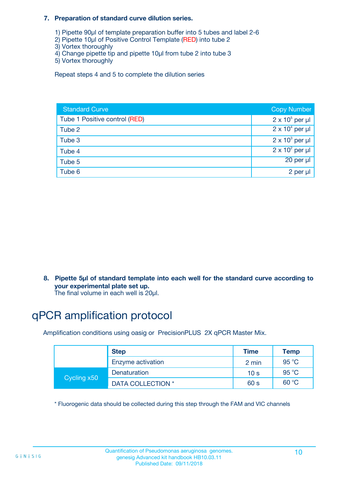#### **7. Preparation of standard curve dilution series.**

- 1) Pipette 90µl of template preparation buffer into 5 tubes and label 2-6
- 2) Pipette 10µl of Positive Control Template (RED) into tube 2
- 3) Vortex thoroughly
- 4) Change pipette tip and pipette 10µl from tube 2 into tube 3
- 5) Vortex thoroughly

Repeat steps 4 and 5 to complete the dilution series

| <b>Standard Curve</b>         | <b>Copy Number</b>     |
|-------------------------------|------------------------|
| Tube 1 Positive control (RED) | $2 \times 10^5$ per µl |
| Tube 2                        | $2 \times 10^4$ per µl |
| Tube 3                        | $2 \times 10^3$ per µl |
| Tube 4                        | $2 \times 10^2$ per µl |
| Tube 5                        | $20$ per $\mu$         |
| Tube 6                        | 2 per µl               |

**8. Pipette 5µl of standard template into each well for the standard curve according to your experimental plate set up.**

#### The final volume in each well is 20µl.

## qPCR amplification protocol

Amplification conditions using oasig or PrecisionPLUS 2X qPCR Master Mix.

|             | <b>Step</b>       | <b>Time</b>     | Temp    |
|-------------|-------------------|-----------------|---------|
|             | Enzyme activation | 2 min           | 95 °C   |
| Cycling x50 | Denaturation      | 10 <sub>s</sub> | 95 $°C$ |
|             | DATA COLLECTION * | 60 s            | 60 °C   |

\* Fluorogenic data should be collected during this step through the FAM and VIC channels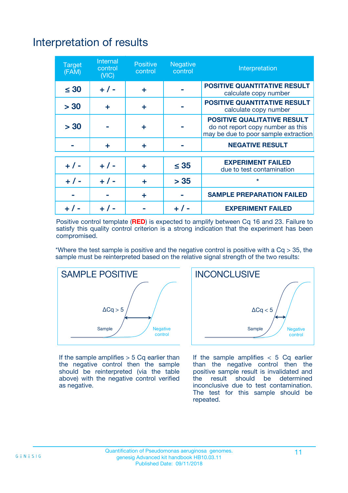## Interpretation of results

| <b>Target</b><br>(FAM) | <b>Internal</b><br>control<br>(NIC) | <b>Positive</b><br>control | <b>Negative</b><br>control | Interpretation                                                                                                  |
|------------------------|-------------------------------------|----------------------------|----------------------------|-----------------------------------------------------------------------------------------------------------------|
| $\leq 30$              | $+ 1 -$                             | ÷                          |                            | <b>POSITIVE QUANTITATIVE RESULT</b><br>calculate copy number                                                    |
| > 30                   | ٠                                   | ÷                          |                            | <b>POSITIVE QUANTITATIVE RESULT</b><br>calculate copy number                                                    |
| > 30                   |                                     | ÷                          |                            | <b>POSITIVE QUALITATIVE RESULT</b><br>do not report copy number as this<br>may be due to poor sample extraction |
|                        | ÷                                   | ÷                          |                            | <b>NEGATIVE RESULT</b>                                                                                          |
| $+ 1 -$                | $+ 1 -$                             | ÷                          | $\leq$ 35                  | <b>EXPERIMENT FAILED</b><br>due to test contamination                                                           |
| $+$ / -                | $+ 1 -$                             | ÷                          | > 35                       | $\star$                                                                                                         |
|                        |                                     | ÷                          |                            | <b>SAMPLE PREPARATION FAILED</b>                                                                                |
|                        |                                     |                            | $+$ /                      | <b>EXPERIMENT FAILED</b>                                                                                        |

Positive control template (**RED**) is expected to amplify between Cq 16 and 23. Failure to satisfy this quality control criterion is a strong indication that the experiment has been compromised.

\*Where the test sample is positive and the negative control is positive with a  $Ca > 35$ , the sample must be reinterpreted based on the relative signal strength of the two results:



If the sample amplifies  $> 5$  Cq earlier than the negative control then the sample should be reinterpreted (via the table above) with the negative control verified as negative.



If the sample amplifies  $< 5$  Cq earlier than the negative control then the positive sample result is invalidated and<br>the result should be determined  $the$  result should be inconclusive due to test contamination. The test for this sample should be repeated.